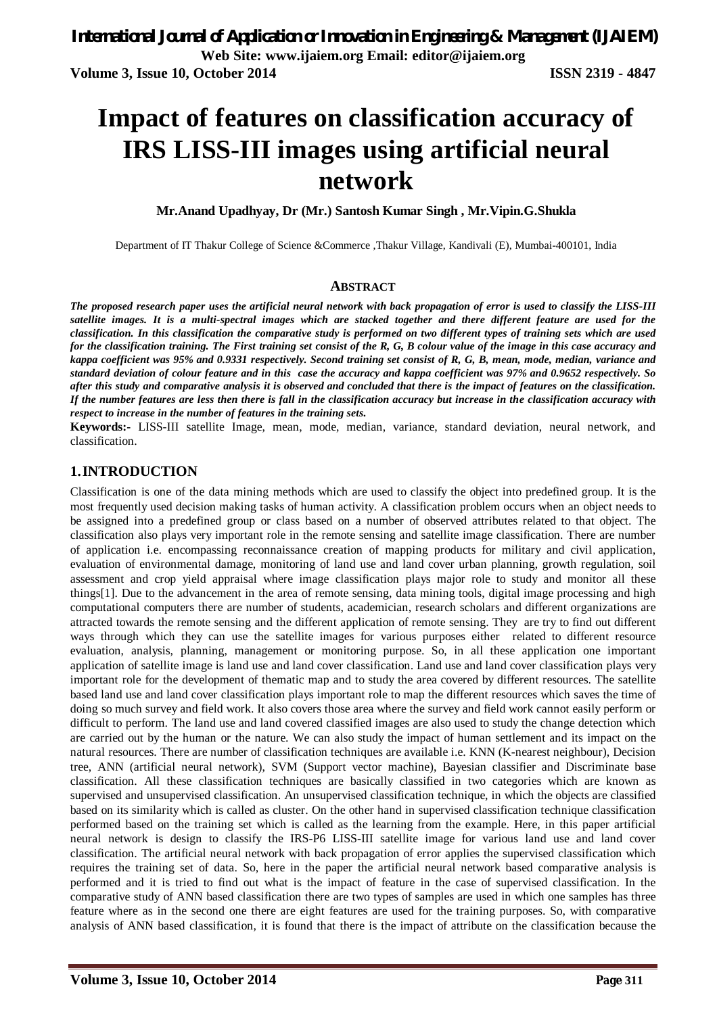# **Impact of features on classification accuracy of IRS LISS-III images using artificial neural network**

**Mr.Anand Upadhyay, Dr (Mr.) Santosh Kumar Singh , Mr.Vipin.G.Shukla** 

Department of IT Thakur College of Science &Commerce ,Thakur Village, Kandivali (E), Mumbai-400101, India

#### **ABSTRACT**

*The proposed research paper uses the artificial neural network with back propagation of error is used to classify the LISS-III satellite images. It is a multi-spectral images which are stacked together and there different feature are used for the classification. In this classification the comparative study is performed on two different types of training sets which are used for the classification training. The First training set consist of the R, G, B colour value of the image in this case accuracy and*  kappa coefficient was 95% and 0.9331 respectively. Second training set consist of R, G, B, mean, mode, median, variance and *standard deviation of colour feature and in this case the accuracy and kappa coefficient was 97% and 0.9652 respectively. So after this study and comparative analysis it is observed and concluded that there is the impact of features on the classification. If the number features are less then there is fall in the classification accuracy but increase in the classification accuracy with respect to increase in the number of features in the training sets.*

**Keywords:-** LISS-III satellite Image, mean, mode, median, variance, standard deviation, neural network, and classification.

### **1.INTRODUCTION**

Classification is one of the data mining methods which are used to classify the object into predefined group. It is the most frequently used decision making tasks of human activity. A classification problem occurs when an object needs to be assigned into a predefined group or class based on a number of observed attributes related to that object. The classification also plays very important role in the remote sensing and satellite image classification. There are number of application i.e. encompassing reconnaissance creation of mapping products for military and civil application, evaluation of environmental damage, monitoring of land use and land cover urban planning, growth regulation, soil assessment and crop yield appraisal where image classification plays major role to study and monitor all these things[1]. Due to the advancement in the area of remote sensing, data mining tools, digital image processing and high computational computers there are number of students, academician, research scholars and different organizations are attracted towards the remote sensing and the different application of remote sensing. They are try to find out different ways through which they can use the satellite images for various purposes either related to different resource evaluation, analysis, planning, management or monitoring purpose. So, in all these application one important application of satellite image is land use and land cover classification. Land use and land cover classification plays very important role for the development of thematic map and to study the area covered by different resources. The satellite based land use and land cover classification plays important role to map the different resources which saves the time of doing so much survey and field work. It also covers those area where the survey and field work cannot easily perform or difficult to perform. The land use and land covered classified images are also used to study the change detection which are carried out by the human or the nature. We can also study the impact of human settlement and its impact on the natural resources. There are number of classification techniques are available i.e. KNN (K-nearest neighbour), Decision tree, ANN (artificial neural network), SVM (Support vector machine), Bayesian classifier and Discriminate base classification. All these classification techniques are basically classified in two categories which are known as supervised and unsupervised classification. An unsupervised classification technique, in which the objects are classified based on its similarity which is called as cluster. On the other hand in supervised classification technique classification performed based on the training set which is called as the learning from the example. Here, in this paper artificial neural network is design to classify the IRS-P6 LISS-III satellite image for various land use and land cover classification. The artificial neural network with back propagation of error applies the supervised classification which requires the training set of data. So, here in the paper the artificial neural network based comparative analysis is performed and it is tried to find out what is the impact of feature in the case of supervised classification. In the comparative study of ANN based classification there are two types of samples are used in which one samples has three feature where as in the second one there are eight features are used for the training purposes. So, with comparative analysis of ANN based classification, it is found that there is the impact of attribute on the classification because the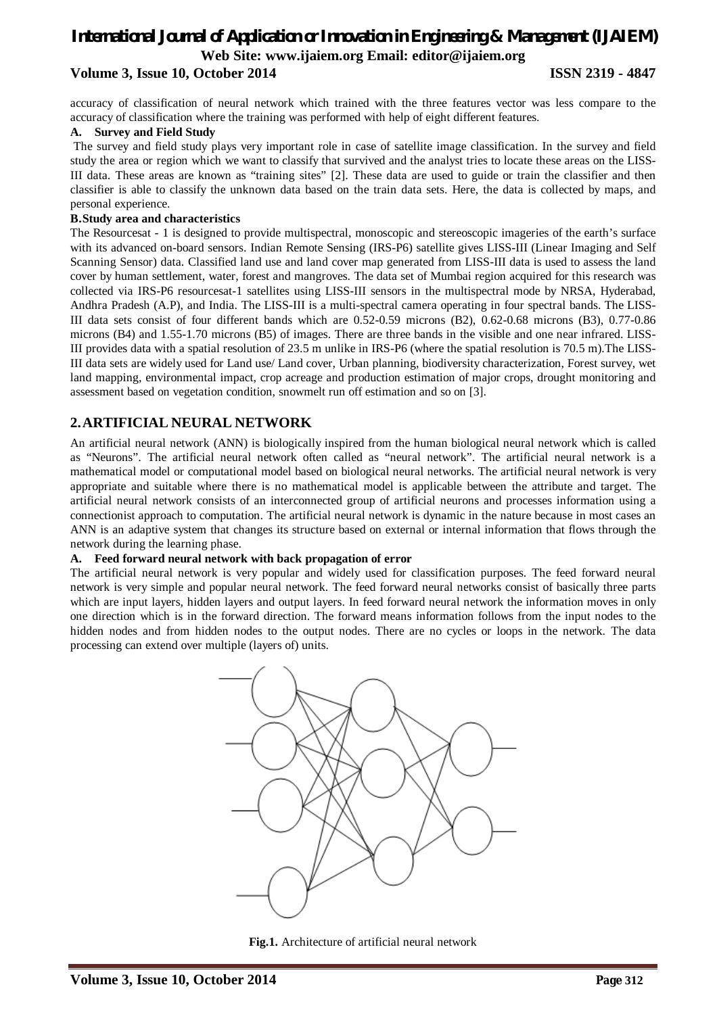### *International Journal of Application or Innovation in Engineering & Management (IJAIEM)* **Web Site: www.ijaiem.org Email: editor@ijaiem.org Volume 3, Issue 10, October 2014 ISSN 2319 - 4847**

accuracy of classification of neural network which trained with the three features vector was less compare to the accuracy of classification where the training was performed with help of eight different features.

#### **A. Survey and Field Study**

The survey and field study plays very important role in case of satellite image classification. In the survey and field study the area or region which we want to classify that survived and the analyst tries to locate these areas on the LISS-III data. These areas are known as "training sites" [2]. These data are used to guide or train the classifier and then classifier is able to classify the unknown data based on the train data sets. Here, the data is collected by maps, and personal experience.

#### **B.Study area and characteristics**

The Resourcesat - 1 is designed to provide multispectral, monoscopic and stereoscopic imageries of the earth's surface with its advanced on-board sensors. Indian Remote Sensing (IRS-P6) satellite gives LISS-III (Linear Imaging and Self Scanning Sensor) data. Classified land use and land cover map generated from LISS-III data is used to assess the land cover by human settlement, water, forest and mangroves. The data set of Mumbai region acquired for this research was collected via IRS-P6 resourcesat-1 satellites using LISS-III sensors in the multispectral mode by NRSA, Hyderabad, Andhra Pradesh (A.P), and India. The LISS-III is a multi-spectral camera operating in four spectral bands. The LISS-III data sets consist of four different bands which are 0.52-0.59 microns (B2), 0.62-0.68 microns (B3), 0.77-0.86 microns (B4) and 1.55-1.70 microns (B5) of images. There are three bands in the visible and one near infrared. LISS-III provides data with a spatial resolution of 23.5 m unlike in IRS-P6 (where the spatial resolution is 70.5 m).The LISS-III data sets are widely used for Land use/ Land cover, Urban planning, biodiversity characterization, Forest survey, wet land mapping, environmental impact, crop acreage and production estimation of major crops, drought monitoring and assessment based on vegetation condition, snowmelt run off estimation and so on [3].

### **2.ARTIFICIAL NEURAL NETWORK**

An artificial neural network (ANN) is biologically inspired from the human biological neural network which is called as "Neurons". The artificial neural network often called as "neural network". The artificial neural network is a mathematical model or computational model based on biological neural networks. The artificial neural network is very appropriate and suitable where there is no mathematical model is applicable between the attribute and target. The artificial neural network consists of an interconnected group of artificial neurons and processes information using a connectionist approach to computation. The artificial neural network is dynamic in the nature because in most cases an ANN is an adaptive system that changes its structure based on external or internal information that flows through the network during the learning phase.

#### **A. Feed forward neural network with back propagation of error**

The artificial neural network is very popular and widely used for classification purposes. The feed forward neural network is very simple and popular neural network. The feed forward neural networks consist of basically three parts which are input layers, hidden layers and output layers. In feed forward neural network the information moves in only one direction which is in the forward direction. The forward means information follows from the input nodes to the hidden nodes and from hidden nodes to the output nodes. There are no cycles or loops in the network. The data processing can extend over multiple (layers of) units.



**Fig.1.** Architecture of artificial neural network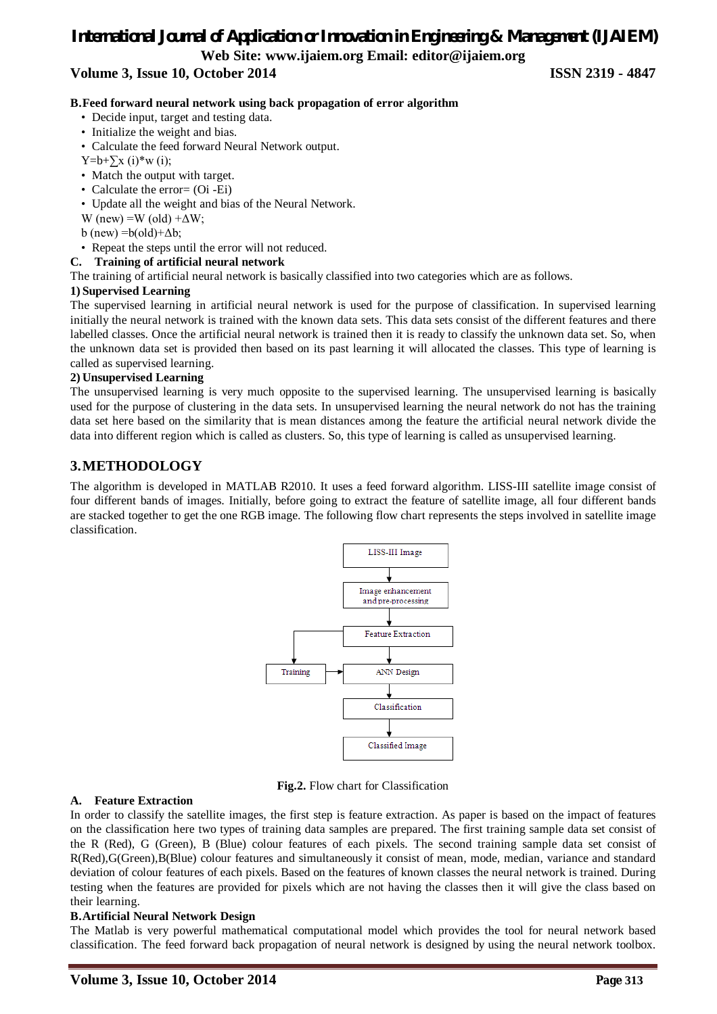### *International Journal of Application or Innovation in Engineering & Management (IJAIEM)* **Web Site: www.ijaiem.org Email: editor@ijaiem.org**

### **Volume 3, Issue 10, October 2014 ISSN 2319 - 4847**

#### **B.Feed forward neural network using back propagation of error algorithm**

- Decide input, target and testing data.
- Initialize the weight and bias.
- Calculate the feed forward Neural Network output.
- $Y=b+\sum x (i)*w (i);$
- Match the output with target.
- Calculate the error= (Oi -Ei)
- Update all the weight and bias of the Neural Network.
- W (new) =W (old) + $\Delta W$ ;
- b (new) =b(old)+ $\Delta b$ ;
- Repeat the steps until the error will not reduced.

#### **C. Training of artificial neural network**

The training of artificial neural network is basically classified into two categories which are as follows.

#### **1) Supervised Learning**

The supervised learning in artificial neural network is used for the purpose of classification. In supervised learning initially the neural network is trained with the known data sets. This data sets consist of the different features and there labelled classes. Once the artificial neural network is trained then it is ready to classify the unknown data set. So, when the unknown data set is provided then based on its past learning it will allocated the classes. This type of learning is called as supervised learning.

#### **2) Unsupervised Learning**

The unsupervised learning is very much opposite to the supervised learning. The unsupervised learning is basically used for the purpose of clustering in the data sets. In unsupervised learning the neural network do not has the training data set here based on the similarity that is mean distances among the feature the artificial neural network divide the data into different region which is called as clusters. So, this type of learning is called as unsupervised learning.

### **3.METHODOLOGY**

The algorithm is developed in MATLAB R2010. It uses a feed forward algorithm. LISS-III satellite image consist of four different bands of images. Initially, before going to extract the feature of satellite image, all four different bands are stacked together to get the one RGB image. The following flow chart represents the steps involved in satellite image classification.



**Fig.2.** Flow chart for Classification

#### **A. Feature Extraction**

In order to classify the satellite images, the first step is feature extraction. As paper is based on the impact of features on the classification here two types of training data samples are prepared. The first training sample data set consist of the R (Red), G (Green), B (Blue) colour features of each pixels. The second training sample data set consist of R(Red),G(Green),B(Blue) colour features and simultaneously it consist of mean, mode, median, variance and standard deviation of colour features of each pixels. Based on the features of known classes the neural network is trained. During testing when the features are provided for pixels which are not having the classes then it will give the class based on their learning.

#### **B.Artificial Neural Network Design**

The Matlab is very powerful mathematical computational model which provides the tool for neural network based classification. The feed forward back propagation of neural network is designed by using the neural network toolbox.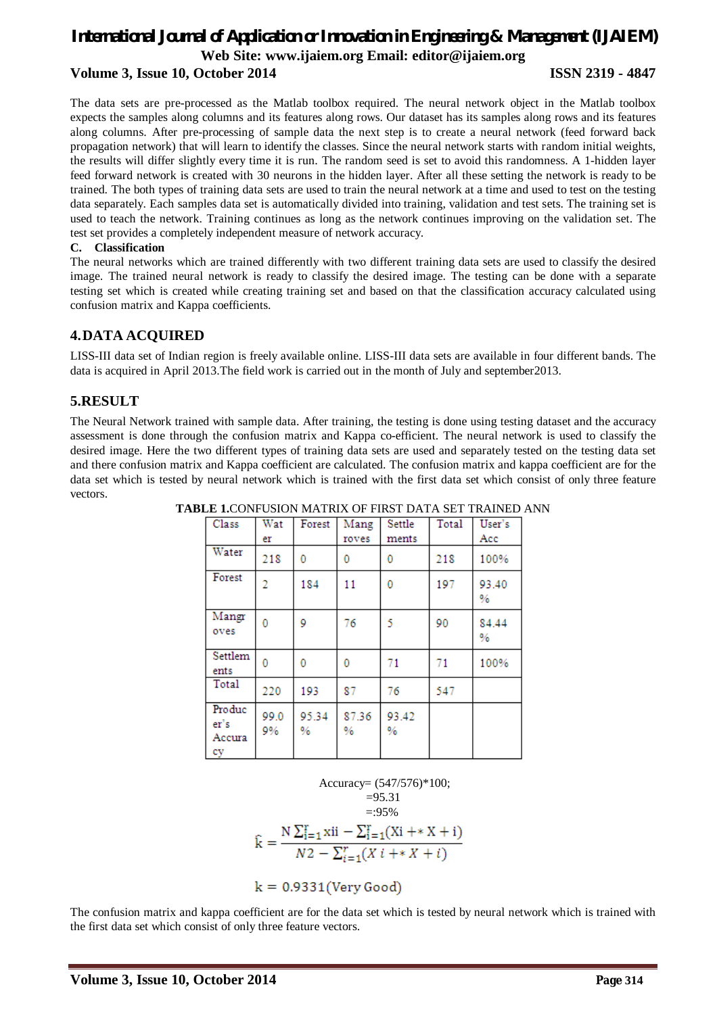### *International Journal of Application or Innovation in Engineering & Management (IJAIEM)* **Web Site: www.ijaiem.org Email: editor@ijaiem.org Volume 3, Issue 10, October 2014 ISSN 2319 - 4847**

The data sets are pre-processed as the Matlab toolbox required. The neural network object in the Matlab toolbox expects the samples along columns and its features along rows. Our dataset has its samples along rows and its features along columns. After pre-processing of sample data the next step is to create a neural network (feed forward back propagation network) that will learn to identify the classes. Since the neural network starts with random initial weights, the results will differ slightly every time it is run. The random seed is set to avoid this randomness. A 1-hidden layer feed forward network is created with 30 neurons in the hidden layer. After all these setting the network is ready to be trained. The both types of training data sets are used to train the neural network at a time and used to test on the testing data separately. Each samples data set is automatically divided into training, validation and test sets. The training set is used to teach the network. Training continues as long as the network continues improving on the validation set. The test set provides a completely independent measure of network accuracy.

#### **C. Classification**

The neural networks which are trained differently with two different training data sets are used to classify the desired image. The trained neural network is ready to classify the desired image. The testing can be done with a separate testing set which is created while creating training set and based on that the classification accuracy calculated using confusion matrix and Kappa coefficients.

### **4.DATA ACQUIRED**

LISS-III data set of Indian region is freely available online. LISS-III data sets are available in four different bands. The data is acquired in April 2013.The field work is carried out in the month of July and september2013.

### **5.RESULT**

The Neural Network trained with sample data. After training, the testing is done using testing dataset and the accuracy assessment is done through the confusion matrix and Kappa co-efficient. The neural network is used to classify the desired image. Here the two different types of training data sets are used and separately tested on the testing data set and there confusion matrix and Kappa coefficient are calculated. The confusion matrix and kappa coefficient are for the data set which is tested by neural network which is trained with the first data set which consist of only three feature vectors.

| Class                          | Wat            | Forest     | Mang       | Settle     | Total | User's     |
|--------------------------------|----------------|------------|------------|------------|-------|------------|
|                                | er             |            | roves      | ments      |       | Acc        |
| Water                          | 218            | 0          | 0          | 0          | 218   | 100%       |
| Forest                         | $\overline{2}$ | 184        | 11         | 0          | 197   | 93.40<br>% |
| Mangr<br>oves                  | 0              | 9          | 76         | 5          | 90    | 84.44<br>% |
| Settlem<br>ents                | 0              | 0          | 0          | 71         | 71    | 100%       |
| Total                          | 220            | 193        | 87         | 76         | 547   |            |
| Produc<br>er's<br>Accura<br>cy | 99.0<br>9%     | 95.34<br>% | 87.36<br>% | 93.42<br>% |       |            |

**TABLE 1.**CONFUSION MATRIX OF FIRST DATA SET TRAINED ANN

Accuracy= (547/576)\*100;  $=95.31$  $\hat{k} = \frac{N \sum_{i=1}^{r} x^{i} - \sum_{i=1}^{r} (Xi + X + i)}{N2 - \sum_{i=1}^{r} (Xi + X + i)}$ 

 $k = 0.9331$  (Very Good)

The confusion matrix and kappa coefficient are for the data set which is tested by neural network which is trained with the first data set which consist of only three feature vectors.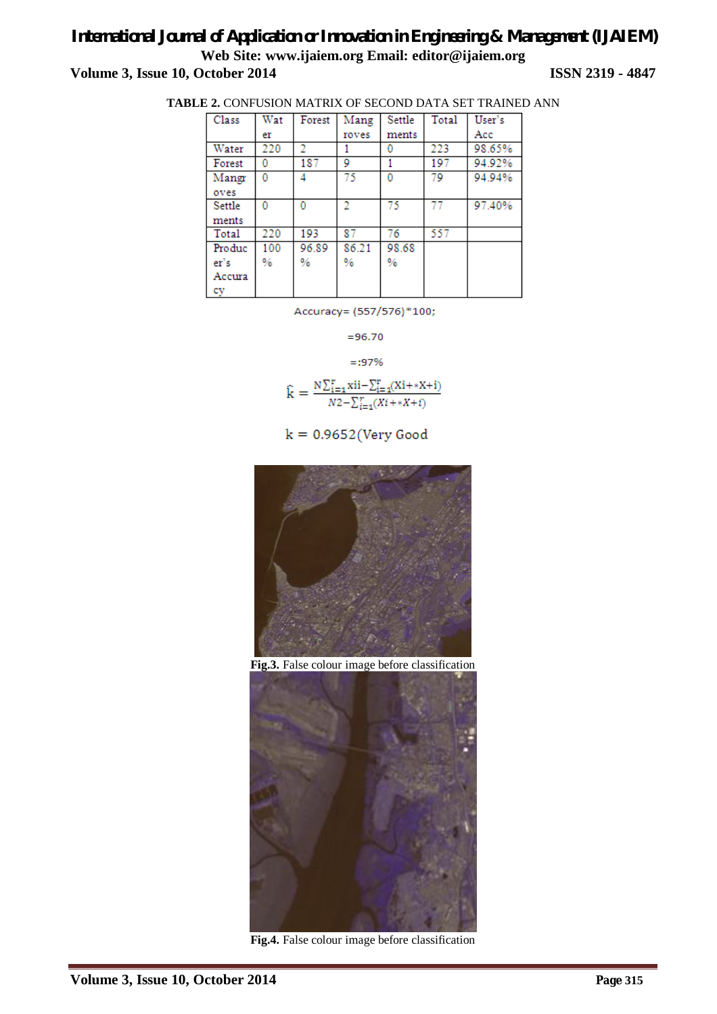### *International Journal of Application or Innovation in Engineering & Management (IJAIEM)* **Web Site: www.ijaiem.org Email: editor@ijaiem.org Volume 3, Issue 10, October 2014 ISSN 2319 - 4847**

| Class  | Wat | Forest | Mang  | Settle | Total | User's |
|--------|-----|--------|-------|--------|-------|--------|
|        | er  |        | roves | ments  |       | Acc    |
| Water  | 220 |        |       | 0      | 223   | 98.65% |
| Forest | 0   | 187    | 9     |        | 197   | 94.92% |
| Mangr  | 0   | 4      | 75    | 0      | 79    | 94.94% |
| oves   |     |        |       |        |       |        |
| Settle | 0   | 0      | 2     | 75     | 77    | 97.40% |
| ments  |     |        |       |        |       |        |
| Total  | 220 | 193    | 87    | 76     | 557   |        |
| Produc | 100 | 96.89  | 86.21 | 98.68  |       |        |
| er's   | %   | %      | $\%$  | %      |       |        |
| Accura |     |        |       |        |       |        |
| cy     |     |        |       |        |       |        |

Accuracy= (557/576)\*100;

 $= 96.70$ 

 $=:97%$ 

$$
\hat{k} = \frac{N \sum_{i=1}^{r} x^{i} - \sum_{i=1}^{r} (X^{i} + *X + i)}{N2 - \sum_{i=1}^{r} (X^{i} + *X + i)}
$$

 $k = 0.9652$  (Very Good



**Fig.3.** False colour image before classification



**Fig.4.** False colour image before classification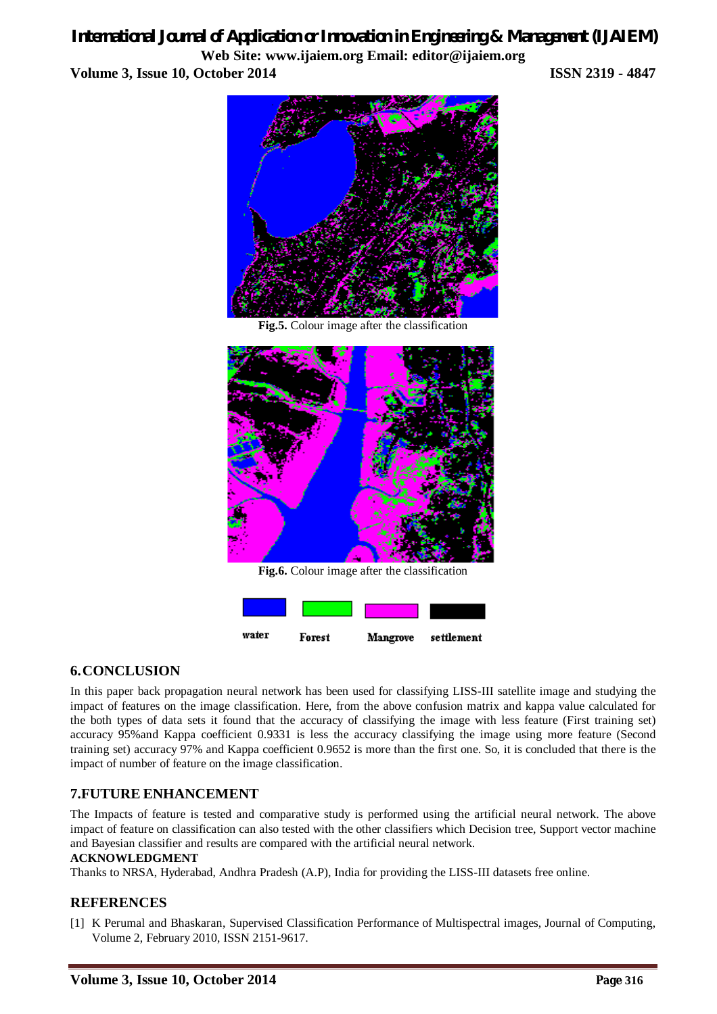### *International Journal of Application or Innovation in Engineering & Management (IJAIEM)*

**Web Site: www.ijaiem.org Email: editor@ijaiem.org Volume 3, Issue 10, October 2014 ISSN 2319 - 4847**



**Fig.5.** Colour image after the classification



**Fig.6.** Colour image after the classification



### **6.CONCLUSION**

In this paper back propagation neural network has been used for classifying LISS-III satellite image and studying the impact of features on the image classification. Here, from the above confusion matrix and kappa value calculated for the both types of data sets it found that the accuracy of classifying the image with less feature (First training set) accuracy 95%and Kappa coefficient 0.9331 is less the accuracy classifying the image using more feature (Second training set) accuracy 97% and Kappa coefficient 0.9652 is more than the first one. So, it is concluded that there is the impact of number of feature on the image classification.

### **7.FUTURE ENHANCEMENT**

The Impacts of feature is tested and comparative study is performed using the artificial neural network. The above impact of feature on classification can also tested with the other classifiers which Decision tree, Support vector machine and Bayesian classifier and results are compared with the artificial neural network.

### **ACKNOWLEDGMENT**

Thanks to NRSA, Hyderabad, Andhra Pradesh (A.P), India for providing the LISS-III datasets free online.

### **REFERENCES**

[1] K Perumal and Bhaskaran, Supervised Classification Performance of Multispectral images, Journal of Computing, Volume 2, February 2010, ISSN 2151-9617.